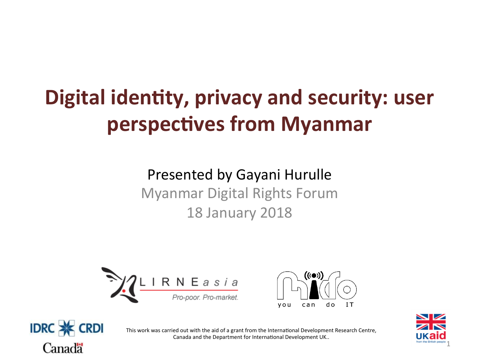## **Digital identity, privacy and security: user perspectives from Myanmar**

#### Presented by Gayani Hurulle **Myanmar Digital Rights Forum**

18 January 2018

$$
\sum_{\text{Pro-poor. Pro-market}}
$$





This work was carried out with the aid of a grant from the International Development Research Centre, Canada and the Department for International Development UK..

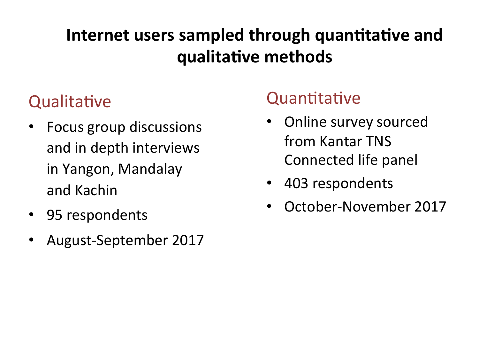### **Internet users sampled through quantitative and** qualitative methods

#### Qualitative

- Focus group discussions and in depth interviews in Yangon, Mandalay and Kachin
- 95 respondents
- August-September 2017

#### Quantitative

- Online survey sourced from Kantar TNS Connected life panel
- 403 respondents
- October-November 2017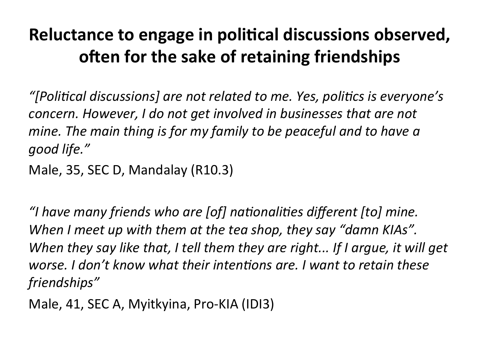#### **Reluctance to engage in political discussions observed, often for the sake of retaining friendships**

*"[Poli'cal discussions] are not related to me. Yes, poli'cs is everyone's concern.* However, I do not get involved in businesses that are not *mine.* The main thing is for my family to be peaceful and to have a *good life."* 

Male, 35, SEC D, Mandalay (R10.3)

*"I have many friends who are [of] na'onali'es different [to] mine. When I meet up with them at the tea shop, they say "damn KIAs". When they say like that, I tell them they are right... If I argue, it will get worse.* I don't know what their intentions are. I want to retain these *friendships"* 

Male, 41, SEC A, Myitkyina, Pro-KIA (IDI3)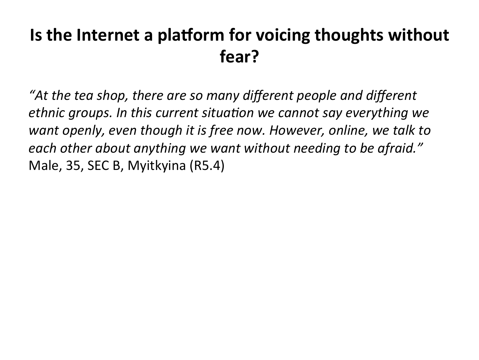#### Is the Internet a platform for voicing thoughts without **fear?**

"At the tea shop, there are so many different people and different *ethnic groups. In this current situation we cannot say everything we want openly, even though it is free now. However, online, we talk to each other about anything we want without needing to be afraid."* Male, 35, SEC B, Myitkyina (R5.4)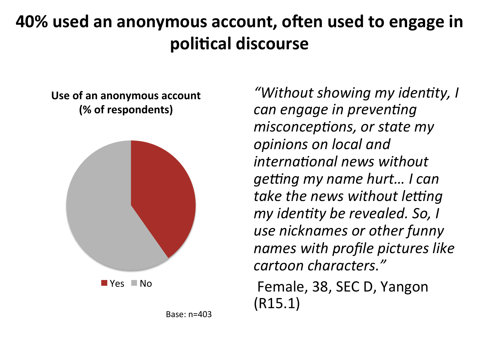#### **40% used an anonymous account, often used to engage in** political discourse

Use of an anonymous account **(% of respondents)** 



*"Without showing my iden'ty, I can engage in preven'ng misconceptions, or state my opinions on local and international news without getting my name hurt...* I can *take the news without letting my iden'ty be revealed. So, I use nicknames or other funny names with profile pictures like cartoon characters."*  Female, 38, SEC D, Yangon (R15.1)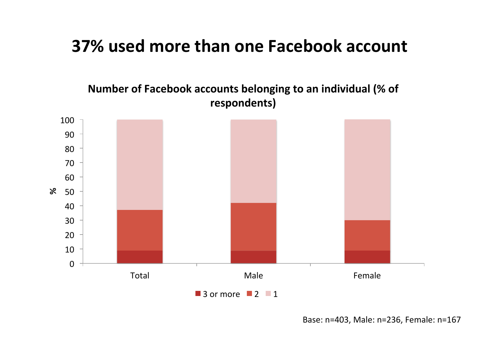#### **37% used more than one Facebook account**

**Number of Facebook accounts belonging to an individual (% of respondents)** 



Base: n=403, Male: n=236, Female: n=167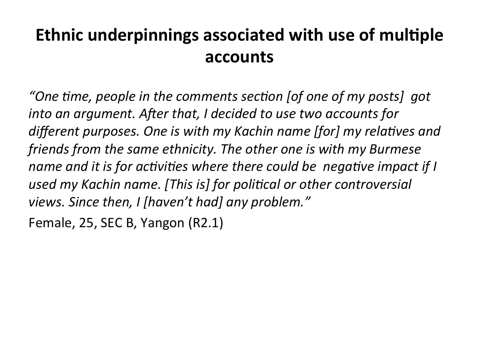#### **Ethnic underpinnings associated with use of multiple accounts**

*"One time, people in the comments section [of one of my posts] got into an argument. After that, I decided to use two accounts for different purposes. One is with my Kachin name [for] my relatives and friends from the same ethnicity. The other one is with my Burmese name and it is for activities where there could be negative impact if I* used my Kachin name. [This is] for political or other controversial views. Since then, I [haven't had] any problem."

Female, 25, SEC B, Yangon (R2.1)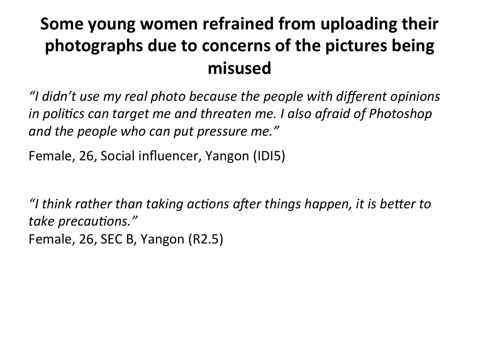#### **Some young women refrained from uploading their photographs due to concerns of the pictures being misused**

*"I didn't use my real photo because the people with different opinions in politics can target me and threaten me. I also afraid of Photoshop* and the people who can put pressure me."

Female, 26, Social influencer, Yangon (IDI5)

"I think rather than taking actions after things happen, it is better to take precautions." Female, 26, SEC B, Yangon (R2.5)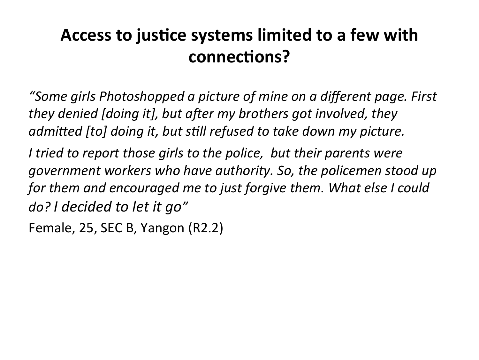#### Access to justice systems limited to a few with connections?

*"Some girls Photoshopped a picture of mine on a different page. First they denied [doing it], but after my brothers got involved, they admitted* [to] doing it, but still refused to take down my picture.

*I* tried to report those girls to the police, but their parents were *government workers who have authority.* So, the policemen stood up *for them and encouraged me to just forgive them. What else I could* do? I decided to let it go"

Female, 25, SEC B, Yangon (R2.2)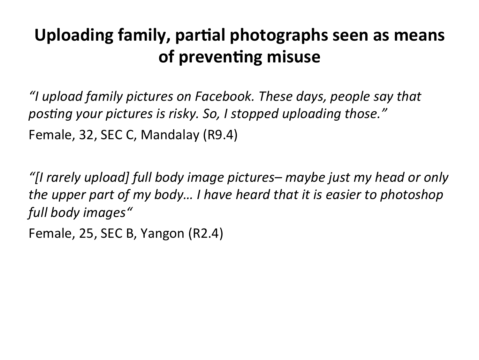#### Uploading family, partial photographs seen as means **of preventing misuse**

*"I upload family pictures on Facebook. These days, people say that posting your pictures is risky. So, I stopped uploading those."* Female, 32, SEC C, Mandalay (R9.4)

*"[I rarely upload] full body image pictures– maybe just my head or only the upper part of my body… I have heard that it is easier to photoshop full body images"*

Female, 25, SEC B, Yangon (R2.4)